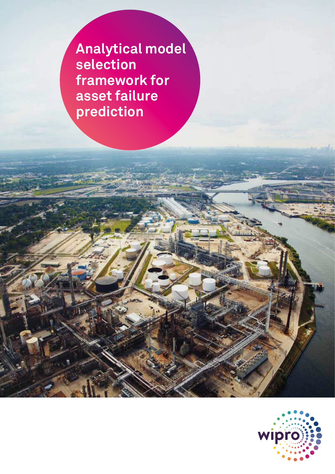**Analytical model selection framework for asset failure prediction**

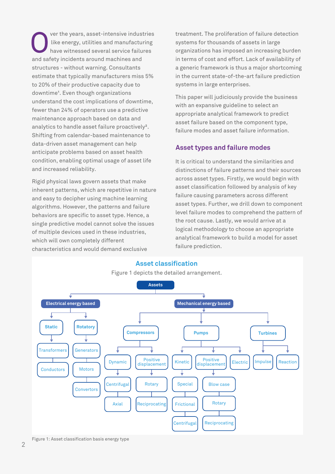ver the years, asset-intensive industries like energy, utilities and manufacturing have witnessed several service failures and safety incidents around machines and structures - without warning. Consultants estimate that typically manufacturers miss 5% to 20% of their productive capacity due to downtime<sup>1</sup>. Even though organizations understand the cost implications of downtime, fewer than 24% of operators use a predictive maintenance approach based on data and analytics to handle asset failure proactively². Shifting from calendar-based maintenance to data-driven asset management can help anticipate problems based on asset health condition, enabling optimal usage of asset life and increased reliability.

Rigid physical laws govern assets that make inherent patterns, which are repetitive in nature and easy to decipher using machine learning algorithms. However, the patterns and failure behaviors are specific to asset type. Hence, a single predictive model cannot solve the issues of multiple devices used in these industries, which will own completely different characteristics and would demand exclusive

treatment. The proliferation of failure detection systems for thousands of assets in large organizations has imposed an increasing burden in terms of cost and effort. Lack of availability of a generic framework is thus a major shortcoming in the current state-of-the-art failure prediction systems in large enterprises.

This paper will judiciously provide the business with an expansive guideline to select an appropriate analytical framework to predict asset failure based on the component type, failure modes and asset failure information.

# **Asset types and failure modes**

It is critical to understand the similarities and distinctions of failure patterns and their sources across asset types. Firstly, we would begin with asset classification followed by analysis of key failure causing parameters across different asset types. Further, we drill down to component level failure modes to comprehend the pattern of the root cause. Lastly, we would arrive at a logical methodology to choose an appropriate analytical framework to build a model for asset failure prediction.



#### Figure 1: Asset classification basis energy type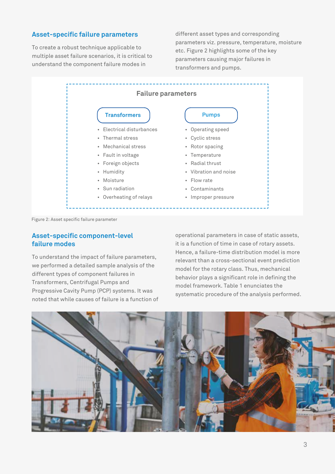## **Asset-specific failure parameters**

To create a robust technique applicable to multiple asset failure scenarios, it is critical to understand the component failure modes in

different asset types and corresponding parameters viz. pressure, temperature, moisture etc. Figure 2 highlights some of the key parameters causing major failures in transformers and pumps.



Figure 2: Asset specific failure parameter

### **Asset-specific component-level failure modes**

To understand the impact of failure parameters, we performed a detailed sample analysis of the different types of component failures in Transformers, Centrifugal Pumps and Progressive Cavity Pump (PCP) systems. It was noted that while causes of failure is a function of operational parameters in case of static assets, it is a function of time in case of rotary assets. Hence, a failure-time distribution model is more relevant than a cross-sectional event prediction model for the rotary class. Thus, mechanical behavior plays a significant role in defining the model framework. Table 1 enunciates the systematic procedure of the analysis performed.

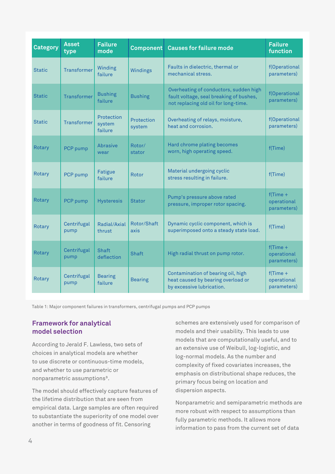| <b>Category</b> | <b>Asset</b><br>type | <b>Failure</b><br>mode          | <b>Component</b>     | <b>Causes for failure mode</b>                                                                                            | <b>Failure</b><br>function                |
|-----------------|----------------------|---------------------------------|----------------------|---------------------------------------------------------------------------------------------------------------------------|-------------------------------------------|
| <b>Static</b>   | <b>Transformer</b>   | Winding<br>failure              | Windings             | Faults in dielectric, thermal or<br>mechanical stress.                                                                    | f(Operational<br>parameters)              |
| <b>Static</b>   | <b>Transformer</b>   | <b>Bushing</b><br>failure       | <b>Bushing</b>       | Overheating of conductors, sudden high<br>fault voltage, seal breaking of bushes,<br>not replacing old oil for long-time. | f(Operational<br>parameters)              |
| <b>Static</b>   | <b>Transformer</b>   | Protection<br>system<br>failure | Protection<br>system | Overheating of relays, moisture,<br>heat and corrosion.                                                                   | f(Operational<br>parameters)              |
| Rotary          | PCP pump             | Abrasive<br>wear                | Rotor/<br>stator     | Hard chrome plating becomes<br>worn, high operating speed.                                                                | f(Time)                                   |
| Rotary          | PCP pump             | Fatigue<br>failure              | Rotor                | Material undergoing cyclic<br>stress resulting in failure.                                                                | f(Time)                                   |
| Rotary          | PCP pump             | <b>Hysteresis</b>               | <b>Stator</b>        | Pump's pressure above rated<br>pressure, improper rotor spacing.                                                          | $f$ (Time +<br>operational<br>parameters) |
| Rotary          | Centrifugal<br>pump  | Radial/Axial<br>thrust          | Rotor/Shaft<br>axis  | Dynamic cyclic component, which is<br>superimposed onto a steady state load.                                              | f(Time)                                   |
| Rotary          | Centrifugal<br>pump  | <b>Shaft</b><br>deflection      | <b>Shaft</b>         | High radial thrust on pump rotor.                                                                                         | $f$ (Time +<br>operational<br>parameters) |
| Rotary          | Centrifugal<br>pump  | <b>Bearing</b><br>failure       | <b>Bearing</b>       | Contamination of bearing oil, high<br>heat caused by bearing overload or<br>by excessive lubrication.                     | $f$ (Time +<br>operational<br>parameters) |

Table 1: Major component failures in transformers, centrifugal pumps and PCP pumps

## **Framework for analytical model selection**

According to Jerald F. Lawless, two sets of choices in analytical models are whether to use discrete or continuous-time models, and whether to use parametric or nonparametric assumptions<sup>3</sup>.

The model should effectively capture features of the lifetime distribution that are seen from empirical data. Large samples are often required to substantiate the superiority of one model over another in terms of goodness of fit. Censoring

schemes are extensively used for comparison of models and their usability. This leads to use models that are computationally useful, and to an extensive use of Weibull, log-logistic, and log-normal models. As the number and complexity of fixed covariates increases, the emphasis on distributional shape reduces, the primary focus being on location and dispersion aspects.

Nonparametric and semiparametric methods are more robust with respect to assumptions than fully parametric methods. It allows more information to pass from the current set of data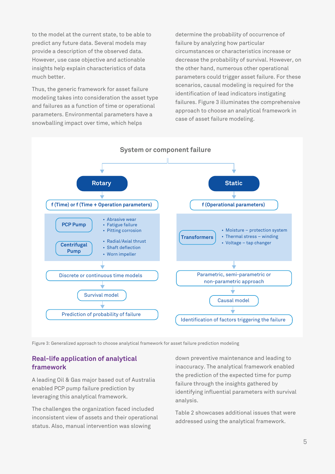to the model at the current state, to be able to predict any future data. Several models may provide a description of the observed data. However, use case objective and actionable insights help explain characteristics of data much better.

Thus, the generic framework for asset failure modeling takes into consideration the asset type and failures as a function of time or operational parameters. Environmental parameters have a snowballing impact over time, which helps

determine the probability of occurrence of failure by analyzing how particular circumstances or characteristics increase or decrease the probability of survival. However, on the other hand, numerous other operational parameters could trigger asset failure. For these scenarios, causal modeling is required for the identification of lead indicators instigating failures. Figure 3 illuminates the comprehensive approach to choose an analytical framework in case of asset failure modeling.



Figure 3: Generalized approach to choose analytical framework for asset failure prediction modeling

# **Real-life application of analytical framework**

A leading Oil & Gas major based out of Australia enabled PCP pump failure prediction by leveraging this analytical framework.

The challenges the organization faced included inconsistent view of assets and their operational status. Also, manual intervention was slowing

down preventive maintenance and leading to inaccuracy. The analytical framework enabled the prediction of the expected time for pump failure through the insights gathered by identifying influential parameters with survival analysis.

Table 2 showcases additional issues that were addressed using the analytical framework.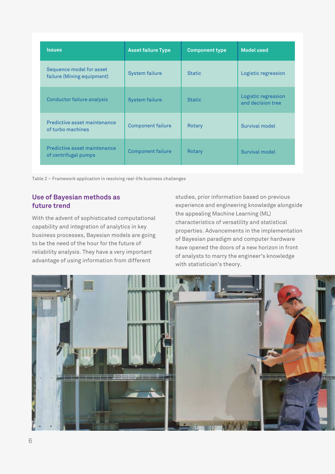| <b>Issues</b>                                          | <b>Asset failure Type</b> | <b>Component type</b> | <b>Model used</b>                        |
|--------------------------------------------------------|---------------------------|-----------------------|------------------------------------------|
| Sequence model for asset<br>failure (Mining equipment) | <b>System failure</b>     | <b>Static</b>         | Logistic regression                      |
| Conductor failure analysis                             | <b>System failure</b>     | <b>Static</b>         | Logistic regression<br>and decision tree |
| Predictive asset maintenance<br>of turbo machines      | <b>Component failure</b>  | Rotary                | Survival model                           |
| Predictive asset maintenance<br>of centrifugal pumps   | <b>Component failure</b>  | Rotary                | Survival model                           |

Table 2 – Framework application in resolving real-life business challenges

# **Use of Bayesian methods as future trend**

With the advent of sophisticated computational capability and integration of analytics in key business processes, Bayesian models are going to be the need of the hour for the future of reliability analysis. They have a very important advantage of using information from different

studies, prior information based on previous experience and engineering knowledge alongside the appealing Machine Learning (ML) characteristics of versatility and statistical properties. Advancements in the implementation of Bayesian paradigm and computer hardware have opened the doors of a new horizon in front of analysts to marry the engineer's knowledge with statistician's theory.

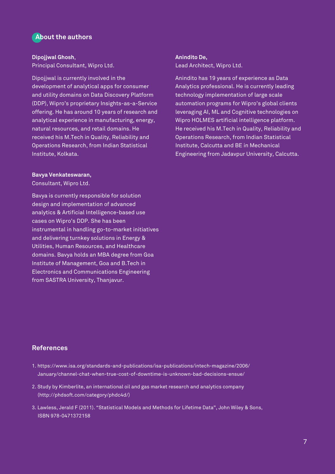# **About the authors**

### **Dipojjwal Ghosh**,

Principal Consultant, Wipro Ltd.

Dipojjwal is currently involved in the development of analytical apps for consumer and utility domains on Data Discovery Platform (DDP), Wipro's proprietary Insights-as-a-Service offering. He has around 10 years of research and analytical experience in manufacturing, energy, natural resources, and retail domains. He received his M.Tech in Quality, Reliability and Operations Research, from Indian Statistical Institute, Kolkata.

#### **Bavya Venkateswaran,**

Consultant, Wipro Ltd.

Bavya is currently responsible for solution design and implementation of advanced analytics & Artificial Intelligence-based use cases on Wipro's DDP. She has been instrumental in handling go-to-market initiatives and delivering turnkey solutions in Energy & Utilities, Human Resources, and Healthcare domains. Bavya holds an MBA degree from Goa Institute of Management, Goa and B.Tech in Electronics and Communications Engineering from SASTRA University, Thanjavur.

#### **Anindito De,**

Lead Architect, Wipro Ltd.

Anindito has 19 years of experience as Data Analytics professional. He is currently leading technology implementation of large scale automation programs for Wipro's global clients leveraging AI, ML and Cognitive technologies on Wipro HOLMES artificial intelligence platform. He received his M.Tech in Quality, Reliability and Operations Research, from Indian Statistical Institute, Calcutta and BE in Mechanical Engineering from Jadavpur University, Calcutta.

## **References**

- 1. https://www.isa.org/standards-and-publications/isa-publications/intech-magazine/2006/ January/channel-chat-when-true-cost-of-downtime-is-unknown-bad-decisions-ensue/
- 2. Study by Kimberlite, an international oil and gas market research and analytics company (http://phdsoft.com/category/phdc4d/)
- 3. Lawless, Jerald F (2011). "Statistical Models and Methods for Lifetime Data", John Wiley & Sons, ISBN 978-0471372158